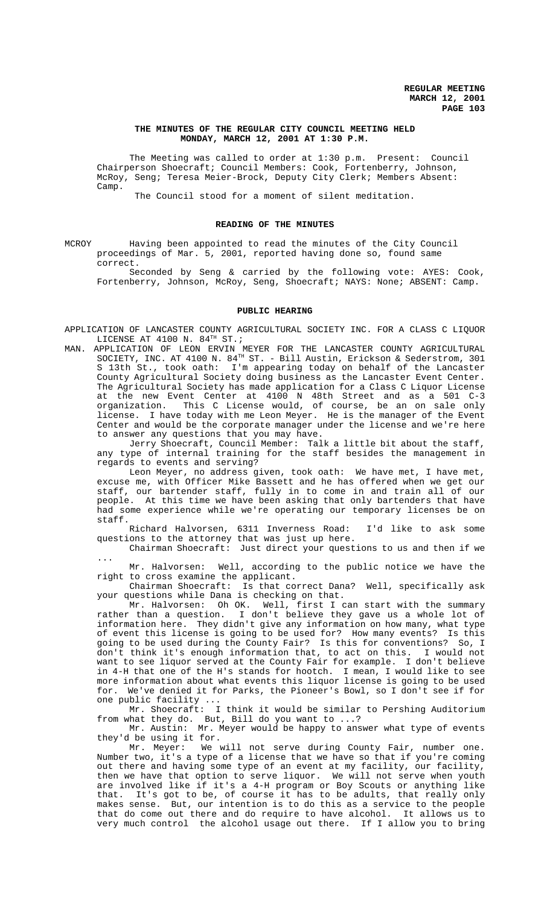## **THE MINUTES OF THE REGULAR CITY COUNCIL MEETING HELD MONDAY, MARCH 12, 2001 AT 1:30 P.M.**

The Meeting was called to order at 1:30 p.m. Present: Council Chairperson Shoecraft; Council Members: Cook, Fortenberry, Johnson, McRoy, Seng; Teresa Meier-Brock, Deputy City Clerk; Members Absent: Camp.

The Council stood for a moment of silent meditation.

#### **READING OF THE MINUTES**

MCROY Having been appointed to read the minutes of the City Council proceedings of Mar. 5, 2001, reported having done so, found same correct.

Seconded by Seng & carried by the following vote: AYES: Cook, Fortenberry, Johnson, McRoy, Seng, Shoecraft; NAYS: None; ABSENT: Camp.

## **PUBLIC HEARING**

- APPLICATION OF LANCASTER COUNTY AGRICULTURAL SOCIETY INC. FOR A CLASS C LIQUOR LICENSE AT 4100 N.  $84^{TH}$  ST.;
- MAN. APPLICATION OF LEON ERVIN MEYER FOR THE LANCASTER COUNTY AGRICULTURAL SOCIETY, INC. AT 4100 N. 84<sup>TH</sup> ST. - Bill Austin, Erickson & Sederstrom, 301 S 13th St., took oath: I'm appearing today on behalf of the Lancaster County Agricultural Society doing business as the Lancaster Event Center. The Agricultural Society has made application for a Class C Liquor License at the new Event Center at 4100 N 48th Street and as a 501 C-3 organization. This C License would, of course, be an on sale only license. I have today with me Leon Meyer. He is the manager of the Event Center and would be the corporate manager under the license and we're here to answer any questions that you may have.

Jerry Shoecraft, Council Member: Talk a little bit about the staff, any type of internal training for the staff besides the management in regards to events and serving?

Leon Meyer, no address given, took oath: We have met, I have met, excuse me, with Officer Mike Bassett and he has offered when we get our staff, our bartender staff, fully in to come in and train all of our people. At this time we have been asking that only bartenders that have had some experience while we're operating our temporary licenses be on staff.

Richard Halvorsen, 6311 Inverness Road: I'd like to ask some questions to the attorney that was just up here.

Chairman Shoecraft: Just direct your questions to us and then if we ...

Mr. Halvorsen: Well, according to the public notice we have the right to cross examine the applicant.

Chairman Shoecraft: Is that correct Dana? Well, specifically ask your questions while Dana is checking on that.

Mr. Halvorsen: Oh OK. Well, first I can start with the summary rather than a question. I don't believe they gave us a whole lot of information here. They didn't give any information on how many, what type of event this license is going to be used for? How many events? Is this going to be used during the County Fair? Is this for conventions? So, I don't think it's enough information that, to act on this. I would not don't think it's enough information that, to act on this. want to see liquor served at the County Fair for example. I don't believe in 4-H that one of the H's stands for hootch. I mean, I would like to see more information about what events this liquor license is going to be used for. We've denied it for Parks, the Pioneer's Bowl, so I don't see if for one public facility ...

Mr. Shoecraft: I think it would be similar to Pershing Auditorium from what they do. But, Bill do you want to ...?

Mr. Austin: Mr. Meyer would be happy to answer what type of events they'd be using it for.

Mr. Meyer: We will not serve during County Fair, number one. Number two, it's a type of a license that we have so that if you're coming out there and having some type of an event at my facility, our facility, then we have that option to serve liquor. We will not serve when youth are involved like if it's a 4-H program or Boy Scouts or anything like that. It's got to be, of course it has to be adults, that really only makes sense. But, our intention is to do this as a service to the people that do come out there and do require to have alcohol. It allows us to very much control the alcohol usage out there. If I allow you to bring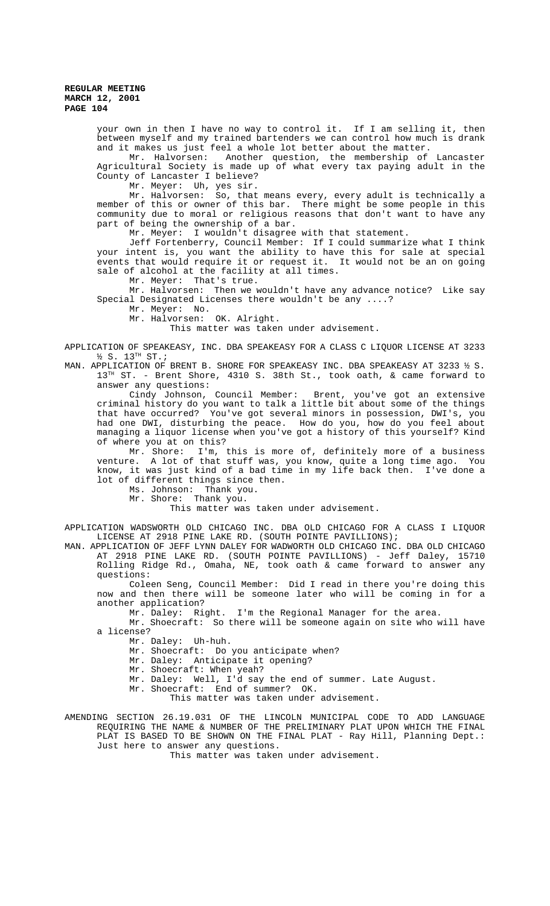your own in then I have no way to control it. If I am selling it, then between myself and my trained bartenders we can control how much is drank and it makes us just feel a whole lot better about the matter.

Mr. Halvorsen: Another question, the membership of Lancaster Agricultural Society is made up of what every tax paying adult in the County of Lancaster I believe?

Mr. Meyer: Uh, yes sir.

Mr. Halvorsen: So, that means every, every adult is technically a member of this or owner of this bar. There might be some people in this community due to moral or religious reasons that don't want to have any part of being the ownership of a bar.

Mr. Meyer: I wouldn't disagree with that statement.

Jeff Fortenberry, Council Member: If I could summarize what I think your intent is, you want the ability to have this for sale at special events that would require it or request it. It would not be an on going sale of alcohol at the facility at all times.

Mr. Meyer: That's true.

Mr. Halvorsen: Then we wouldn't have any advance notice? Like say Special Designated Licenses there wouldn't be any ....?

Mr. Meyer: No.

Mr. Halvorsen: OK. Alright.

This matter was taken under advisement.

APPLICATION OF SPEAKEASY, INC. DBA SPEAKEASY FOR A CLASS C LIQUOR LICENSE AT 3233  $\frac{1}{2}$  S. 13<sup>TH</sup> ST.;

MAN. APPLICATION OF BRENT B. SHORE FOR SPEAKEASY INC. DBA SPEAKEASY AT 3233 ½ S. 13<sup>TH</sup> ST. - Brent Shore, 4310 S. 38th St., took oath, & came forward to answer any questions:

Cindy Johnson, Council Member: Brent, you've got an extensive criminal history do you want to talk a little bit about some of the things that have occurred? You've got several minors in possession, DWI's, you had one DWI, disturbing the peace. How do you, how do you feel about managing a liquor license when you've got a history of this yourself? Kind of where you at on this?

Mr. Shore: I'm, this is more of, definitely more of a business venture. A lot of that stuff was, you know, quite a long time ago. You know, it was just kind of a bad time in my life back then. I've done a lot of different things since then.

Ms. Johnson: Thank you.

Mr. Shore: Thank you.

This matter was taken under advisement.

APPLICATION WADSWORTH OLD CHICAGO INC. DBA OLD CHICAGO FOR A CLASS I LIQUOR LICENSE AT 2918 PINE LAKE RD. (SOUTH POINTE PAVILLIONS);

MAN. APPLICATION OF JEFF LYNN DALEY FOR WADWORTH OLD CHICAGO INC. DBA OLD CHICAGO AT 2918 PINE LAKE RD. (SOUTH POINTE PAVILLIONS) - Jeff Daley, 15710 Rolling Ridge Rd., Omaha, NE, took oath & came forward to answer any questions:

Coleen Seng, Council Member: Did I read in there you're doing this now and then there will be someone later who will be coming in for a another application?

Mr. Daley: Right. I'm the Regional Manager for the area.

Mr. Shoecraft: So there will be someone again on site who will have a license?

Mr. Daley: Uh-huh.

Mr. Shoecraft: Do you anticipate when?

Mr. Daley: Anticipate it opening?

Mr. Shoecraft: When yeah?

Mr. Daley: Well, I'd say the end of summer. Late August.

Mr. Shoecraft: End of summer? OK.

This matter was taken under advisement.

AMENDING SECTION 26.19.031 OF THE LINCOLN MUNICIPAL CODE TO ADD LANGUAGE REQUIRING THE NAME & NUMBER OF THE PRELIMINARY PLAT UPON WHICH THE FINAL PLAT IS BASED TO BE SHOWN ON THE FINAL PLAT - Ray Hill, Planning Dept.: Just here to answer any questions.

This matter was taken under advisement.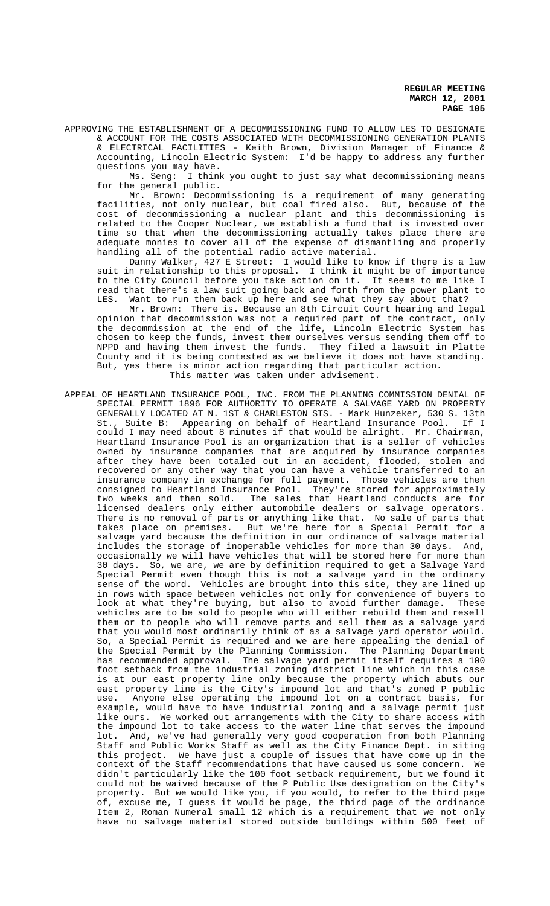APPROVING THE ESTABLISHMENT OF A DECOMMISSIONING FUND TO ALLOW LES TO DESIGNATE & ACCOUNT FOR THE COSTS ASSOCIATED WITH DECOMMISSIONING GENERATION PLANTS

& ELECTRICAL FACILITIES - Keith Brown, Division Manager of Finance & Accounting, Lincoln Electric System: I'd be happy to address any further questions you may have.

Ms. Seng: I think you ought to just say what decommissioning means for the general public.

Mr. Brown: Decommissioning is a requirement of many generating facilities, not only nuclear, but coal fired also. But, because of the cost of decommissioning a nuclear plant and this decommissioning is related to the Cooper Nuclear, we establish a fund that is invested over time so that when the decommissioning actually takes place there are adequate monies to cover all of the expense of dismantling and properly handling all of the potential radio active material.

Danny Walker, 427 E Street: I would like to know if there is a law suit in relationship to this proposal. I think it might be of importance to the City Council before you take action on it. It seems to me like I read that there's a law suit going back and forth from the power plant to LES. Want to run them back up here and see what they say about that?

Mr. Brown: There is. Because an 8th Circuit Court hearing and legal opinion that decommission was not a required part of the contract, only the decommission at the end of the life, Lincoln Electric System has chosen to keep the funds, invest them ourselves versus sending them off to NPPD and having them invest the funds. They filed a lawsuit in Platte County and it is being contested as we believe it does not have standing. But, yes there is minor action regarding that particular action. This matter was taken under advisement.

APPEAL OF HEARTLAND INSURANCE POOL, INC. FROM THE PLANNING COMMISSION DENIAL OF SPECIAL PERMIT 1896 FOR AUTHORITY TO OPERATE A SALVAGE YARD ON PROPERTY GENERALLY LOCATED AT N. 1ST & CHARLESTON STS. - Mark Hunzeker, 530 S. 13th St., Suite B: Appearing on behalf of Heartland Insurance Pool. If I could I may need about 8 minutes if that would be alright. Mr. Chairman, Heartland Insurance Pool is an organization that is a seller of vehicles owned by insurance companies that are acquired by insurance companies after they have been totaled out in an accident, flooded, stolen and recovered or any other way that you can have a vehicle transferred to an insurance company in exchange for full payment. Those vehicles are then<br>consigned to Heartland Insurance Pool. They're stored for approximately consigned to Heartland Insurance Pool. They're stored for approximately two weeks and then sold. The sales that Heartland conducts are for licensed dealers only either automobile dealers or salvage operators. There is no removal of parts or anything like that. No sale of parts that takes place on premises. But we're here for a Special Permit for a salvage yard because the definition in our ordinance of salvage material includes the storage of inoperable vehicles for more than 30 days. And, occasionally we will have vehicles that will be stored here for more than 30 days. So, we are, we are by definition required to get a Salvage Yard Special Permit even though this is not a salvage yard in the ordinary sense of the word. Vehicles are brought into this site, they are lined up in rows with space between vehicles not only for convenience of buyers to look at what they're buying, but also to avoid further damage. These vehicles are to be sold to people who will either rebuild them and resell them or to people who will remove parts and sell them as a salvage yard that you would most ordinarily think of as a salvage yard operator would. So, a Special Permit is required and we are here appealing the denial of the Special Permit by the Planning Commission. The Planning Department has recommended approval. The salvage yard permit itself requires a 100 foot setback from the industrial zoning district line which in this case is at our east property line only because the property which abuts our east property line is the City's impound lot and that's zoned P public use. Anyone else operating the impound lot on a contract basis, for example, would have to have industrial zoning and a salvage permit just like ours. We worked out arrangements with the City to share access with the impound lot to take access to the water line that serves the impound lot. And, we've had generally very good cooperation from both Planning Staff and Public Works Staff as well as the City Finance Dept. in siting this project. We have just a couple of issues that have come up in the context of the Staff recommendations that have caused us some concern. We didn't particularly like the 100 foot setback requirement, but we found it could not be waived because of the P Public Use designation on the City's property. But we would like you, if you would, to refer to the third page of, excuse me, I guess it would be page, the third page of the ordinance Item 2, Roman Numeral small 12 which is a requirement that we not only have no salvage material stored outside buildings within 500 feet of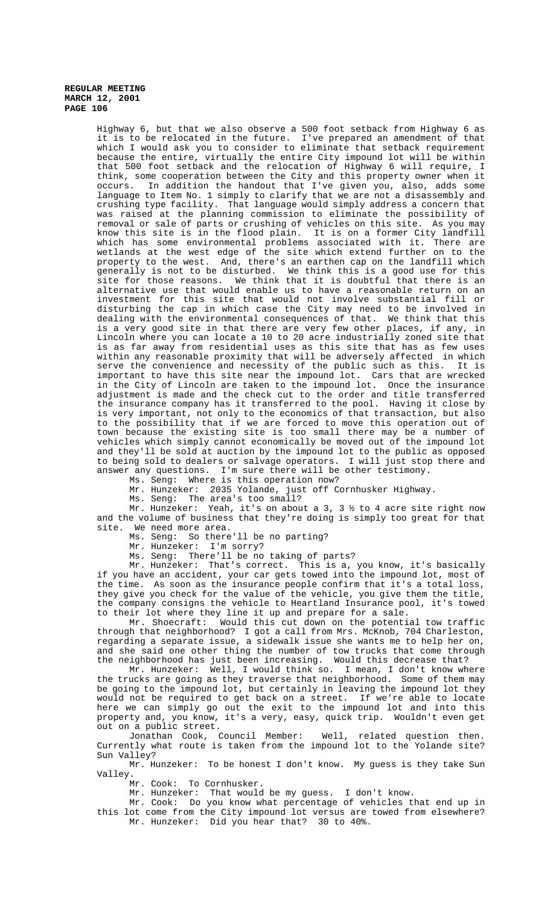Highway 6, but that we also observe a 500 foot setback from Highway 6 as it is to be relocated in the future. I've prepared an amendment of that which I would ask you to consider to eliminate that setback requirement because the entire, virtually the entire City impound lot will be within that 500 foot setback and the relocation of Highway 6 will require, I think, some cooperation between the City and this property owner when it occurs. In addition the handout that I've given you, also, adds some language to Item No. 1 simply to clarify that we are not a disassembly and crushing type facility. That language would simply address a concern that was raised at the planning commission to eliminate the possibility of removal or sale of parts or crushing of vehicles on this site. As you may know this site is in the flood plain. It is on a former City landfill which has some environmental problems associated with it. There are wetlands at the west edge of the site which extend further on to the property to the west. And, there's an earthen cap on the landfill which generally is not to be disturbed. We think this is a good use for this site for those reasons. We think that it is doubtful that there is an alternative use that would enable us to have a reasonable return on an investment for this site that would not involve substantial fill or disturbing the cap in which case the City may need to be involved in dealing with the environmental consequences of that. We think that this is a very good site in that there are very few other places, if any, in Lincoln where you can locate a 10 to 20 acre industrially zoned site that is as far away from residential uses as this site that has as few uses within any reasonable proximity that will be adversely affected in which serve the convenience and necessity of the public such as this. It is important to have this site near the impound lot. Cars that are wrecked in the City of Lincoln are taken to the impound lot. Once the insurance adjustment is made and the check cut to the order and title transferred the insurance company has it transferred to the pool. Having it close by is very important, not only to the economics of that transaction, but also to the possibility that if we are forced to move this operation out of town because the existing site is too small there may be a number of vehicles which simply cannot economically be moved out of the impound lot and they'll be sold at auction by the impound lot to the public as opposed to being sold to dealers or salvage operators. I will just stop there and answer any questions. I'm sure there will be other testimony.

Ms. Seng: Where is this operation now?

Mr. Hunzeker: 2035 Yolande, just off Cornhusker Highway.

Ms. Seng: The area's too small?

Mr. Hunzeker: Yeah, it's on about a 3, 3 ½ to 4 acre site right now and the volume of business that they're doing is simply too great for that site. We need more area.

Ms. Seng: So there'll be no parting?

Mr. Hunzeker: I'm sorry?

Ms. Seng: There'll be no taking of parts?

Mr. Hunzeker: That's correct. This is a, you know, it's basically if you have an accident, your car gets towed into the impound lot, most of the time. As soon as the insurance people confirm that it's a total loss, they give you check for the value of the vehicle, you give them the title, the company consigns the vehicle to Heartland Insurance pool, it's towed to their lot where they line it up and prepare for a sale.

 Mr. Shoecraft: Would this cut down on the potential tow traffic through that neighborhood? I got a call from Mrs. McKnob, 704 Charleston, regarding a separate issue, a sidewalk issue she wants me to help her on, and she said one other thing the number of tow trucks that come through the neighborhood has just been increasing. Would this decrease that?

Mr. Hunzeker: Well, I would think so. I mean, I don't know where the trucks are going as they traverse that neighborhood. Some of them may be going to the impound lot, but certainly in leaving the impound lot they would not be required to get back on a street. If we're able to locate here we can simply go out the exit to the impound lot and into this property and, you know, it's a very, easy, quick trip. Wouldn't even get out on a public street.

Jonathan Cook, Council Member: Well, related question then. Currently what route is taken from the impound lot to the Yolande site? Sun Valley?

Mr. Hunzeker: To be honest I don't know. My guess is they take Sun Valley.

Mr. Cook: To Cornhusker.

Mr. Hunzeker: That would be my guess. I don't know.

Mr. Cook: Do you know what percentage of vehicles that end up in this lot come from the City impound lot versus are towed from elsewhere? Mr. Hunzeker: Did you hear that? 30 to 40%.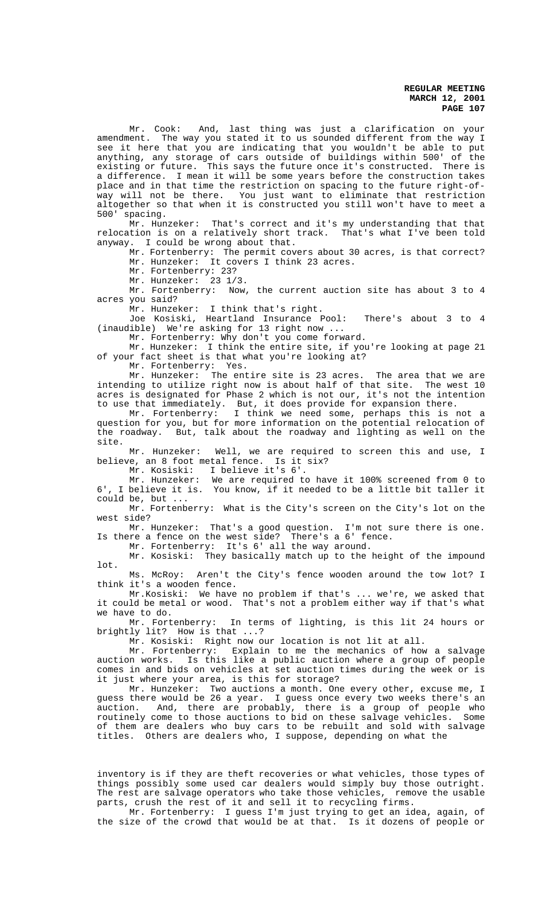Mr. Cook: And, last thing was just a clarification on your amendment. The way you stated it to us sounded different from the way I see it here that you are indicating that you wouldn't be able to put anything, any storage of cars outside of buildings within 500' of the existing or future. This says the future once it's constructed. There is a difference. I mean it will be some years before the construction takes place and in that time the restriction on spacing to the future right-ofway will not be there. You just want to eliminate that restriction altogether so that when it is constructed you still won't have to meet a 500' spacing.

Mr. Hunzeker: That's correct and it's my understanding that that relocation is on a relatively short track. That's what I've been told anyway. I could be wrong about that.

Mr. Fortenberry: The permit covers about 30 acres, is that correct? Mr. Hunzeker: It covers I think 23 acres.

Mr. Fortenberry: 23?

Mr. Hunzeker: 23 1/3.

Mr. Fortenberry: Now, the current auction site has about 3 to 4 acres you said?

Mr. Hunzeker: I think that's right.

Joe Kosiski, Heartland Insurance Pool: There's about 3 to 4 (inaudible) We're asking for 13 right now ...

Mr. Fortenberry: Why don't you come forward.

Mr. Hunzeker: I think the entire site, if you're looking at page 21 of your fact sheet is that what you're looking at?

Mr. Fortenberry: Yes.

Mr. Hunzeker: The entire site is 23 acres. The area that we are intending to utilize right now is about half of that site. The west 10 acres is designated for Phase 2 which is not our, it's not the intention to use that immediately. But, it does provide for expansion there.

Mr. Fortenberry: I think we need some, perhaps this is not a question for you, but for more information on the potential relocation of the roadway. But, talk about the roadway and lighting as well on the site.

Mr. Hunzeker: Well, we are required to screen this and use, I believe, an 8 foot metal fence. Is it six?

Mr. Kosiski: I believe it's 6'.

Mr. Hunzeker: We are required to have it 100% screened from 0 to 6', I believe it is. You know, if it needed to be a little bit taller it could be, but ...

Mr. Fortenberry: What is the City's screen on the City's lot on the west side?

Mr. Hunzeker: That's a good question. I'm not sure there is one. Is there a fence on the west side? There's a 6' fence.

Mr. Fortenberry: It's 6' all the way around.

Mr. Kosiski: They basically match up to the height of the impound lot.

Ms. McRoy: Aren't the City's fence wooden around the tow lot? I think it's a wooden fence.

Mr.Kosiski: We have no problem if that's ... we're, we asked that it could be metal or wood. That's not a problem either way if that's what we have to do.

Mr. Fortenberry: In terms of lighting, is this lit 24 hours or brightly lit? How is that ...?

Mr. Kosiski: Right now our location is not lit at all.

Mr. Fortenberry: Explain to me the mechanics of how a salvage auction works. Is this like a public auction where a group of people comes in and bids on vehicles at set auction times during the week or is it just where your area, is this for storage?

Mr. Hunzeker: Two auctions a month. One every other, excuse me, I guess there would be 26 a year. I guess once every two weeks there's an auction. And, there are probably, there is a group of people who routinely come to those auctions to bid on these salvage vehicles. Some of them are dealers who buy cars to be rebuilt and sold with salvage titles. Others are dealers who, I suppose, depending on what the

inventory is if they are theft recoveries or what vehicles, those types of things possibly some used car dealers would simply buy those outright. The rest are salvage operators who take those vehicles, remove the usable parts, crush the rest of it and sell it to recycling firms.

Mr. Fortenberry: I guess I'm just trying to get an idea, again, of the size of the crowd that would be at that. Is it dozens of people or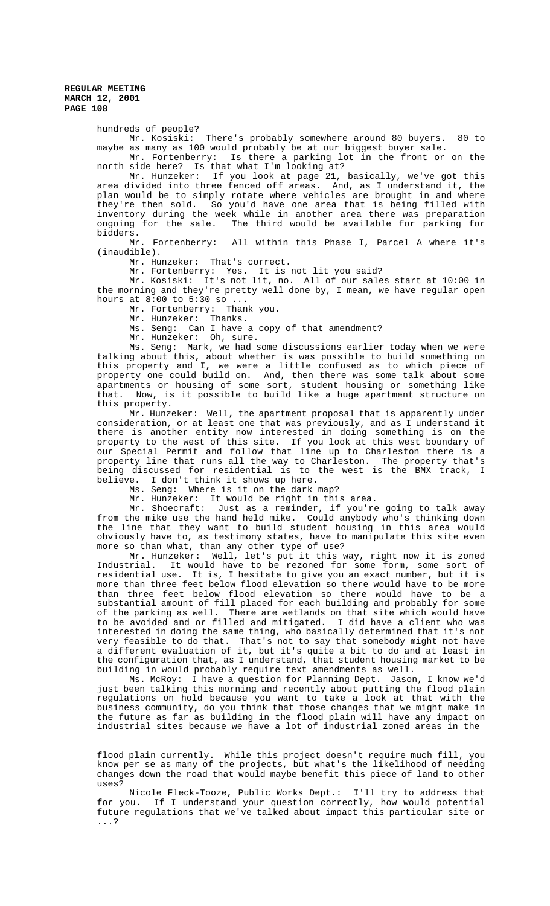hundreds of people?

Mr. Kosiski: There's probably somewhere around 80 buyers. 80 to maybe as many as 100 would probably be at our biggest buyer sale.

Mr. Fortenberry: Is there a parking lot in the front or on the north side here? Is that what I'm looking at?

Mr. Hunzeker: If you look at page 21, basically, we've got this area divided into three fenced off areas. And, as I understand it, the plan would be to simply rotate where vehicles are brought in and where they're then sold. So you'd have one area that is being filled with inventory during the week while in another area there was preparation<br>ongoing for the sale. The third would be available for parking for The third would be available for parking for bidders.

Mr. Fortenberry: All within this Phase I, Parcel A where it's (inaudible).

Mr. Hunzeker: That's correct.

Mr. Fortenberry: Yes. It is not lit you said?

Mr. Kosiski: It's not lit, no. All of our sales start at 10:00 in the morning and they're pretty well done by, I mean, we have regular open hours at 8:00 to 5:30 so ...

Mr. Fortenberry: Thank you.

Mr. Hunzeker: Thanks.

Ms. Seng: Can I have a copy of that amendment?

Mr. Hunzeker: Oh, sure.

Ms. Seng: Mark, we had some discussions earlier today when we were talking about this, about whether is was possible to build something on this property and I, we were a little confused as to which piece of property one could build on. And, then there was some talk about some apartments or housing of some sort, student housing or something like that. Now, is it possible to build like a huge apartment structure on this property.

Mr. Hunzeker: Well, the apartment proposal that is apparently under consideration, or at least one that was previously, and as I understand it there is another entity now interested in doing something is on the property to the west of this site. If you look at this west boundary of our Special Permit and follow that line up to Charleston there is a property line that runs all the way to Charleston. The property that's being discussed for residential is to the west is the BMX track, I believe. I don't think it shows up here.

Ms. Seng: Where is it on the dark map?

Mr. Hunzeker: It would be right in this area.

Mr. Shoecraft: Just as a reminder, if you're going to talk away from the mike use the hand held mike. Could anybody who's thinking down the line that they want to build student housing in this area would obviously have to, as testimony states, have to manipulate this site even more so than what, than any other type of use?<br>Mr. Hunzeker: Well, let's put it this w

Well, let's put it this way, right now it is zoned Industrial. It would have to be rezoned for some form, some sort of residential use. It is, I hesitate to give you an exact number, but it is more than three feet below flood elevation so there would have to be more than three feet below flood elevation so there would have to be a substantial amount of fill placed for each building and probably for some of the parking as well. There are wetlands on that site which would have to be avoided and or filled and mitigated. I did have a client who was interested in doing the same thing, who basically determined that it's not very feasible to do that. That's not to say that somebody might not have a different evaluation of it, but it's quite a bit to do and at least in the configuration that, as I understand, that student housing market to be building in would probably require text amendments as well.

Ms. McRoy: I have a question for Planning Dept. Jason, I know we'd just been talking this morning and recently about putting the flood plain regulations on hold because you want to take a look at that with the business community, do you think that those changes that we might make in the future as far as building in the flood plain will have any impact on industrial sites because we have a lot of industrial zoned areas in the

flood plain currently. While this project doesn't require much fill, you know per se as many of the projects, but what's the likelihood of needing changes down the road that would maybe benefit this piece of land to other uses?

Nicole Fleck-Tooze, Public Works Dept.: I'll try to address that for you. If I understand your question correctly, how would potential future regulations that we've talked about impact this particular site or ...?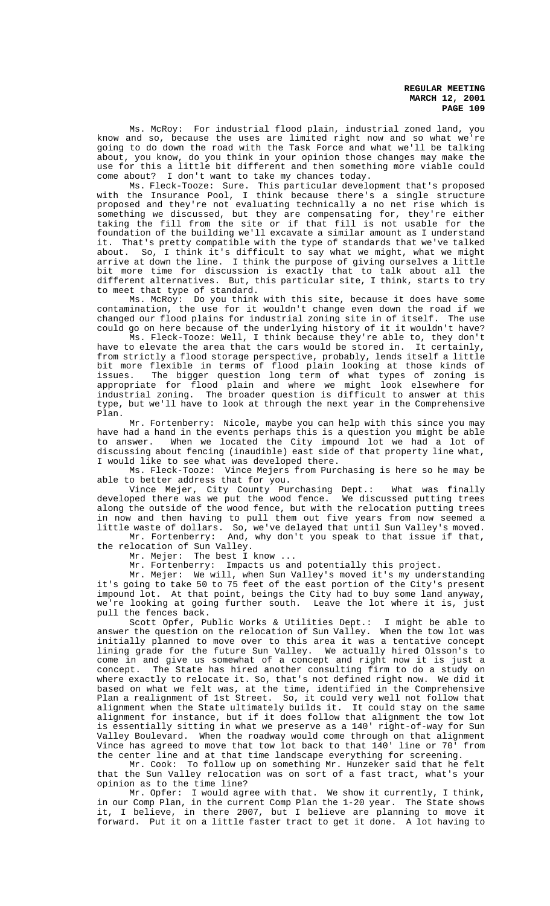Ms. McRoy: For industrial flood plain, industrial zoned land, you know and so, because the uses are limited right now and so what we're going to do down the road with the Task Force and what we'll be talking about, you know, do you think in your opinion those changes may make the use for this a little bit different and then something more viable could come about? I don't want to take my chances today.

Ms. Fleck-Tooze: Sure. This particular development that's proposed with the Insurance Pool, I think because there's a single structure proposed and they're not evaluating technically a no net rise which is something we discussed, but they are compensating for, they're either taking the fill from the site or if that fill is not usable for the foundation of the building we'll excavate a similar amount as I understand it. That's pretty compatible with the type of standards that we've talked about. So, I think it's difficult to say what we might, what we might arrive at down the line. I think the purpose of giving ourselves a little bit more time for discussion is exactly that to talk about all the different alternatives. But, this particular site, I think, starts to try to meet that type of standard.

Ms. McRoy: Do you think with this site, because it does have some contamination, the use for it wouldn't change even down the road if we changed our flood plains for industrial zoning site in of itself. The use could go on here because of the underlying history of it it wouldn't have?

Ms. Fleck-Tooze: Well, I think because they're able to, they don't have to elevate the area that the cars would be stored in. It certainly, from strictly a flood storage perspective, probably, lends itself a little bit more flexible in terms of flood plain looking at those kinds of issues. The bigger question long term of what types of zoning is appropriate for flood plain and where we might look elsewhere for industrial zoning. The broader question is difficult to answer at this type, but we'll have to look at through the next year in the Comprehensive Plan.

Mr. Fortenberry: Nicole, maybe you can help with this since you may have had a hand in the events perhaps this is a question you might be able to answer. When we located the City impound lot we had a lot of discussing about fencing (inaudible) east side of that property line what, I would like to see what was developed there.

Ms. Fleck-Tooze: Vince Mejers from Purchasing is here so he may be able to better address that for you.

Vince Mejer, City County Purchasing Dept.: What was finally developed there was we put the wood fence. We discussed putting trees along the outside of the wood fence, but with the relocation putting trees in now and then having to pull them out five years from now seemed a little waste of dollars. So, we've delayed that until Sun Valley's moved.

Mr. Fortenberry: And, why don't you speak to that issue if that, the relocation of Sun Valley.

Mr. Mejer: The best I know ...

Mr. Fortenberry: Impacts us and potentially this project.

Mr. Mejer: We will, when Sun Valley's moved it's my understanding it's going to take 50 to 75 feet of the east portion of the City's present impound lot. At that point, beings the City had to buy some land anyway,<br>we're looking at going further south. Leave the lot where it is, just we're looking at going further south. pull the fences back.

Scott Opfer, Public Works & Utilities Dept.: I might be able to answer the question on the relocation of Sun Valley. When the tow lot was initially planned to move over to this area it was a tentative concept lining grade for the future Sun Valley. We actually hired Olsson's to come in and give us somewhat of a concept and right now it is just a concept. The State has hired another consulting firm to do a study on where exactly to relocate it. So, that's not defined right now. We did it based on what we felt was, at the time, identified in the Comprehensive Plan a realignment of 1st Street. So, it could very well not follow that alignment when the State ultimately builds it. It could stay on the same alignment for instance, but if it does follow that alignment the tow lot is essentially sitting in what we preserve as a 140' right-of-way for Sun Valley Boulevard. When the roadway would come through on that alignment Vince has agreed to move that tow lot back to that 140' line or 70' from the center line and at that time landscape everything for screening.

Mr. Cook: To follow up on something Mr. Hunzeker said that he felt that the Sun Valley relocation was on sort of a fast tract, what's your opinion as to the time line?

Mr. Opfer: I would agree with that. We show it currently, I think, in our Comp Plan, in the current Comp Plan the 1-20 year. The State shows it, I believe, in there 2007, but I believe are planning to move it forward. Put it on a little faster tract to get it done. A lot having to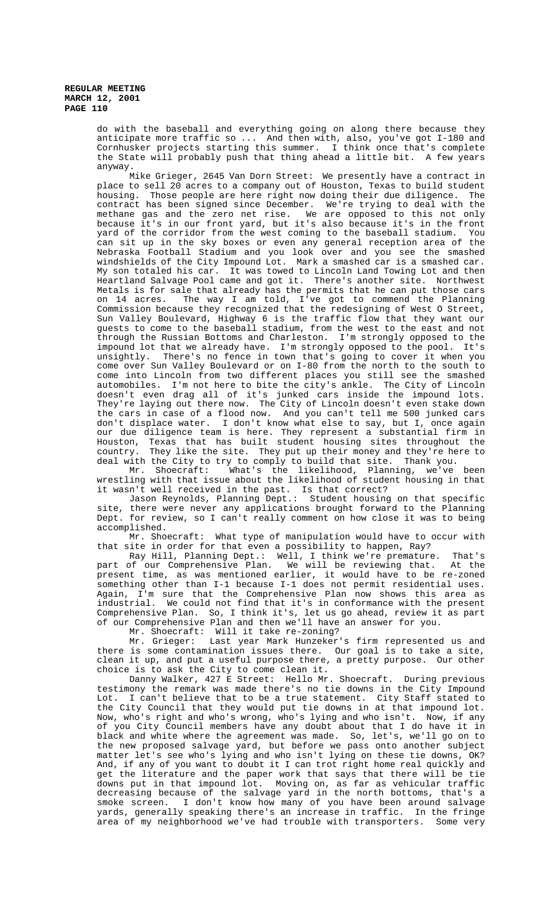do with the baseball and everything going on along there because they anticipate more traffic so ... And then with, also, you've got I-180 and Cornhusker projects starting this summer. I think once that's complete the State will probably push that thing ahead a little bit. A few years anyway.

Mike Grieger, 2645 Van Dorn Street: We presently have a contract in place to sell 20 acres to a company out of Houston, Texas to build student housing. Those people are here right now doing their due diligence. The contract has been signed since December. We're trying to deal with the methane gas and the zero net rise. We are opposed to this not only because it's in our front yard, but it's also because it's in the front yard of the corridor from the west coming to the baseball stadium. You can sit up in the sky boxes or even any general reception area of the Nebraska Football Stadium and you look over and you see the smashed windshields of the City Impound Lot. Mark a smashed car is a smashed car. My son totaled his car. It was towed to Lincoln Land Towing Lot and then Heartland Salvage Pool came and got it. There's another site. Northwest Metals is for sale that already has the permits that he can put those cars on 14 acres. The way I am told, I've got to commend the Planning Commission because they recognized that the redesigning of West O Street, Sun Valley Boulevard, Highway 6 is the traffic flow that they want our guests to come to the baseball stadium, from the west to the east and not through the Russian Bottoms and Charleston. I'm strongly opposed to the through the Russian Bottoms and Charleston. impound lot that we already have. I'm strongly opposed to the pool. It's unsightly. There's no fence in town that's going to cover it when you come over Sun Valley Boulevard or on I-80 from the north to the south to come into Lincoln from two different places you still see the smashed automobiles. I'm not here to bite the city's ankle. The City of Lincoln doesn't even drag all of it's junked cars inside the impound lots. They're laying out there now. The City of Lincoln doesn't even stake down the cars in case of a flood now. And you can't tell me 500 junked cars don't displace water. I don't know what else to say, but I, once again our due diligence team is here. They represent a substantial firm in Houston, Texas that has built student housing sites throughout the country. They like the site. They put up their money and they're here to deal with the City to try to comply to build that site. Thank you.

Mr. Shoecraft: What's the likelihood, Planning, we've been wrestling with that issue about the likelihood of student housing in that it wasn't well received in the past. Is that correct?

Jason Reynolds, Planning Dept.: Student housing on that specific site, there were never any applications brought forward to the Planning Dept. for review, so I can't really comment on how close it was to being accomplished.

Mr. Shoecraft: What type of manipulation would have to occur with that site in order for that even a possibility to happen, Ray?

Ray Hill, Planning Dept.: Well, I think we're premature. That's part of our Comprehensive Plan. We will be reviewing that. At the present time, as was mentioned earlier, it would have to be re-zoned something other than I-1 because I-1 does not permit residential uses. Again, I'm sure that the Comprehensive Plan now shows this area as industrial. We could not find that it's in conformance with the present Comprehensive Plan. So, I think it's, let us go ahead, review it as part of our Comprehensive Plan and then we'll have an answer for you.

Mr. Shoecraft: Will it take re-zoning?

Mr. Grieger: Last year Mark Hunzeker's firm represented us and there is some contamination issues there. Our goal is to take a site, clean it up, and put a useful purpose there, a pretty purpose. Our other choice is to ask the City to come clean it.

Danny Walker, 427 E Street: Hello Mr. Shoecraft. During previous testimony the remark was made there's no tie downs in the City Impound Lot. I can't believe that to be a true statement. City Staff stated to the City Council that they would put tie downs in at that impound lot. Now, who's right and who's wrong, who's lying and who isn't. Now, if any of you City Council members have any doubt about that I do have it in black and white where the agreement was made. So, let's, we'll go on to the new proposed salvage yard, but before we pass onto another subject matter let's see who's lying and who isn't lying on these tie downs, OK? And, if any of you want to doubt it I can trot right home real quickly and get the literature and the paper work that says that there will be tie downs put in that impound lot. Moving on, as far as vehicular traffic decreasing because of the salvage yard in the north bottoms, that's a smoke screen. I don't know how many of you have been around salvage yards, generally speaking there's an increase in traffic. In the fringe area of my neighborhood we've had trouble with transporters. Some very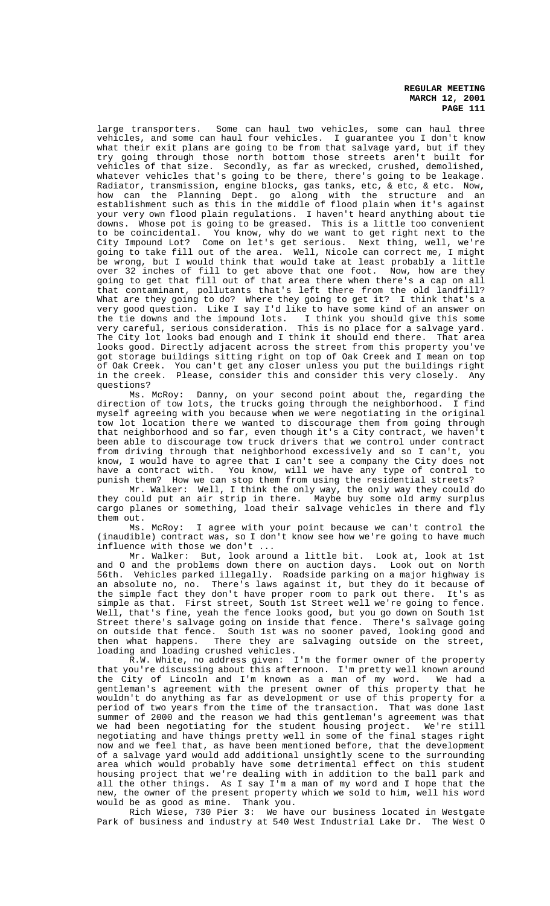large transporters. Some can haul two vehicles, some can haul three vehicles, and some can haul four vehicles. I guarantee you I don't know what their exit plans are going to be from that salvage yard, but if they try going through those north bottom those streets aren't built for vehicles of that size. Secondly, as far as wrecked, crushed, demolished, whatever vehicles that's going to be there, there's going to be leakage. Radiator, transmission, engine blocks, gas tanks, etc, & etc, & etc. Now, how can the Planning Dept. go along with the structure and an establishment such as this in the middle of flood plain when it's against your very own flood plain regulations. I haven't heard anything about tie downs. Whose pot is going to be greased. This is a little too convenient to be coincidental. You know, why do we want to get right next to the City Impound Lot? Come on let's get serious. Next thing, well, we're going to take fill out of the area. Well, Nicole can correct me, I might be wrong, but I would think that would take at least probably a little over 32 inches of fill to get above that one foot. Now, how are they going to get that fill out of that area there when there's a cap on all that contaminant, pollutants that's left there from the old landfill? What are they going to do? Where they going to get it? I think that's a very good question. Like I say I'd like to have some kind of an answer on the tie downs and the impound lots. I think you should give this some very careful, serious consideration. This is no place for a salvage yard. The City lot looks bad enough and I think it should end there. That area looks good. Directly adjacent across the street from this property you've got storage buildings sitting right on top of Oak Creek and I mean on top of Oak Creek. You can't get any closer unless you put the buildings right in the creek. Please, consider this and consider this very closely. Any

questions?<br>Ms. McRoy: Danny, on your second point about the, regarding the direction of tow lots, the trucks going through the neighborhood. I find myself agreeing with you because when we were negotiating in the original tow lot location there we wanted to discourage them from going through that neighborhood and so far, even though it's a City contract, we haven't been able to discourage tow truck drivers that we control under contract from driving through that neighborhood excessively and so I can't, you know, I would have to agree that I can't see a company the City does not have a contract with. You know, will we have any type of control to punish them? How we can stop them from using the residential streets?

Mr. Walker: Well, I think the only way, the only way they could do they could put an air strip in there. Maybe buy some old army surplus cargo planes or something, load their salvage vehicles in there and fly them out.

Ms. McRoy: I agree with your point because we can't control the (inaudible) contract was, so I don't know see how we're going to have much influence with those we don't ...

Mr. Walker: But, look around a little bit. Look at, look at 1st and O and the problems down there on auction days. Look out on North 56th. Vehicles parked illegally. Roadside parking on a major highway is an absolute no, no. There's laws against it, but they do it because of the simple fact they don't have proper room to park out there. It's as simple as that. First street, South 1st Street well we're going to fence. Well, that's fine, yeah the fence looks good, but you go down on South 1st Street there's salvage going on inside that fence. There's salvage going on outside that fence. South 1st was no sooner paved, looking good and then what happens. There they are salvaging outside on the street, loading and loading crushed vehicles.

R.W. White, no address given: I'm the former owner of the property that you're discussing about this afternoon. I'm pretty well known around the City of Lincoln and I'm known as a man of my word. We had a gentleman's agreement with the present owner of this property that he wouldn't do anything as far as development or use of this property for a period of two years from the time of the transaction. That was done last summer of 2000 and the reason we had this gentleman's agreement was that we had been negotiating for the student housing project. We're still negotiating and have things pretty well in some of the final stages right now and we feel that, as have been mentioned before, that the development of a salvage yard would add additional unsightly scene to the surrounding area which would probably have some detrimental effect on this student housing project that we're dealing with in addition to the ball park and all the other things. As I say I'm a man of my word and I hope that the new, the owner of the present property which we sold to him, well his word would be as good as mine. Thank you.

Rich Wiese, 730 Pier 3: We have our business located in Westgate Park of business and industry at 540 West Industrial Lake Dr. The West O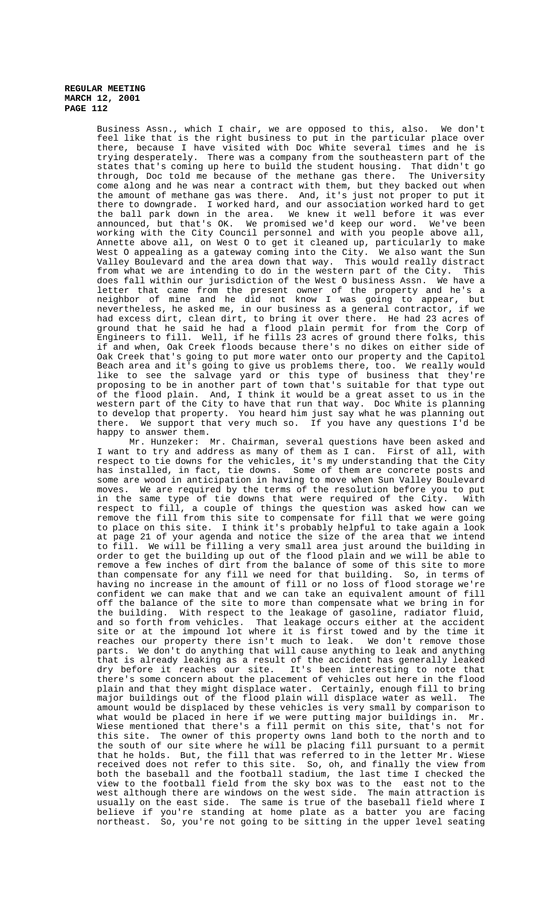Business Assn., which I chair, we are opposed to this, also. We don't feel like that is the right business to put in the particular place over there, because I have visited with Doc White several times and he is trying desperately. There was a company from the southeastern part of the states that's coming up here to build the student housing. That didn't go through, Doc told me because of the methane gas there. The University come along and he was near a contract with them, but they backed out when the amount of methane gas was there. And, it's just not proper to put it there to downgrade. I worked hard, and our association worked hard to get the ball park down in the area. We knew it well before it was ever announced, but that's OK. We promised we'd keep our word. We've been working with the City Council personnel and with you people above all, Annette above all, on West O to get it cleaned up, particularly to make West O appealing as a gateway coming into the City. We also want the Sun Valley Boulevard and the area down that way. This would really distract from what we are intending to do in the western part of the City. This does fall within our jurisdiction of the West O business Assn. We have a letter that came from the present owner of the property and he's a neighbor of mine and he did not know I was going to appear, but nevertheless, he asked me, in our business as a general contractor, if we had excess dirt, clean dirt, to bring it over there. He had 23 acres of ground that he said he had a flood plain permit for from the Corp of Engineers to fill. Well, if he fills 23 acres of ground there folks, this if and when, Oak Creek floods because there's no dikes on either side of Oak Creek that's going to put more water onto our property and the Capitol Beach area and it's going to give us problems there, too. We really would like to see the salvage yard or this type of business that they're proposing to be in another part of town that's suitable for that type out of the flood plain. And, I think it would be a great asset to us in the western part of the City to have that run that way. Doc White is planning to develop that property. You heard him just say what he was planning out there. We support that very much so. If you have any questions I'd be happy to answer them.

Mr. Hunzeker: Mr. Chairman, several questions have been asked and I want to try and address as many of them as I can. First of all, with respect to tie downs for the vehicles, it's my understanding that the City has installed, in fact, tie downs. Some of them are concrete posts and some are wood in anticipation in having to move when Sun Valley Boulevard moves. We are required by the terms of the resolution before you to put in the same type of tie downs that were required of the City. With respect to fill, a couple of things the question was asked how can we remove the fill from this site to compensate for fill that we were going to place on this site. I think it's probably helpful to take again a look at page 21 of your agenda and notice the size of the area that we intend to fill. We will be filling a very small area just around the building in order to get the building up out of the flood plain and we will be able to remove a few inches of dirt from the balance of some of this site to more than compensate for any fill we need for that building. So, in terms of having no increase in the amount of fill or no loss of flood storage we're confident we can make that and we can take an equivalent amount of fill off the balance of the site to more than compensate what we bring in for the building. With respect to the leakage of gasoline, radiator fluid, and so forth from vehicles. That leakage occurs either at the accident site or at the impound lot where it is first towed and by the time it reaches our property there isn't much to leak. We don't remove those parts. We don't do anything that will cause anything to leak and anything that is already leaking as a result of the accident has generally leaked dry before it reaches our site. It's been interesting to note that there's some concern about the placement of vehicles out here in the flood plain and that they might displace water. Certainly, enough fill to bring major buildings out of the flood plain will displace water as well. The amount would be displaced by these vehicles is very small by comparison to what would be placed in here if we were putting major buildings in. Mr. Wiese mentioned that there's a fill permit on this site, that's not for this site. The owner of this property owns land both to the north and to the south of our site where he will be placing fill pursuant to a permit that he holds. But, the fill that was referred to in the letter Mr. Wiese received does not refer to this site. So, oh, and finally the view from both the baseball and the football stadium, the last time I checked the view to the football field from the sky box was to the east not to the west although there are windows on the west side. The main attraction is usually on the east side. The same is true of the baseball field where I believe if you're standing at home plate as a batter you are facing northeast. So, you're not going to be sitting in the upper level seating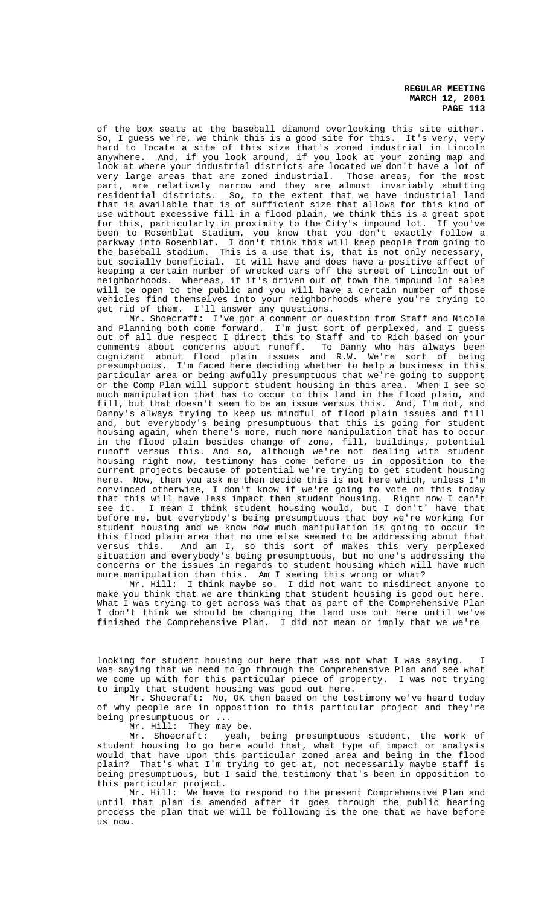of the box seats at the baseball diamond overlooking this site either. So, I guess we're, we think this is a good site for this. It's very, very hard to locate a site of this size that's zoned industrial in Lincoln anywhere. And, if you look around, if you look at your zoning map and look at where your industrial districts are located we don't have a lot of very large areas that are zoned industrial. Those areas, for the most part, are relatively narrow and they are almost invariably abutting residential districts. So, to the extent that we have industrial land that is available that is of sufficient size that allows for this kind of use without excessive fill in a flood plain, we think this is a great spot for this, particularly in proximity to the City's impound lot. If you've been to Rosenblat Stadium, you know that you don't exactly follow a parkway into Rosenblat. I don't think this will keep people from going to the baseball stadium. This is a use that is, that is not only necessary, but socially beneficial. It will have and does have a positive affect of keeping a certain number of wrecked cars off the street of Lincoln out of neighborhoods. Whereas, if it's driven out of town the impound lot sales will be open to the public and you will have a certain number of those vehicles find themselves into your neighborhoods where you're trying to get rid of them. I'll answer any questions.

Mr. Shoecraft: I've got a comment or question from Staff and Nicole and Planning both come forward. I'm just sort of perplexed, and I guess out of all due respect I direct this to Staff and to Rich based on your comments about concerns about runoff. To Danny who has always been cognizant about flood plain issues and R.W. We're sort of being presumptuous. I'm faced here deciding whether to help a business in this particular area or being awfully presumptuous that we're going to support or the Comp Plan will support student housing in this area. When I see so much manipulation that has to occur to this land in the flood plain, and fill, but that doesn't seem to be an issue versus this. And, I'm not, and Danny's always trying to keep us mindful of flood plain issues and fill and, but everybody's being presumptuous that this is going for student housing again, when there's more, much more manipulation that has to occur in the flood plain besides change of zone, fill, buildings, potential runoff versus this. And so, although we're not dealing with student housing right now, testimony has come before us in opposition to the current projects because of potential we're trying to get student housing here. Now, then you ask me then decide this is not here which, unless I'm convinced otherwise, I don't know if we're going to vote on this today that this will have less impact then student housing. Right now I can't see it. I mean I think student housing would, but I don't' have that before me, but everybody's being presumptuous that boy we're working for student housing and we know how much manipulation is going to occur in this flood plain area that no one else seemed to be addressing about that versus this. And am I, so this sort of makes this very perplexed situation and everybody's being presumptuous, but no one's addressing the concerns or the issues in regards to student housing which will have much more manipulation than this. Am I seeing this wrong or what?

Mr. Hill: I think maybe so. I did not want to misdirect anyone to make you think that we are thinking that student housing is good out here. What I was trying to get across was that as part of the Comprehensive Plan I don't think we should be changing the land use out here until we've finished the Comprehensive Plan. I did not mean or imply that we we're

looking for student housing out here that was not what I was saying. I was saying that we need to go through the Comprehensive Plan and see what we come up with for this particular piece of property. I was not trying to imply that student housing was good out here.

Mr. Shoecraft: No, OK then based on the testimony we've heard today of why people are in opposition to this particular project and they're being presumptuous or ...

Mr. Hill: They may be.<br>Mr. Shoecraft: yeah,

Mr. Shoecraft: yeah, being presumptuous student, the work of student housing to go here would that, what type of impact or analysis would that have upon this particular zoned area and being in the flood plain? That's what I'm trying to get at, not necessarily maybe staff is being presumptuous, but I said the testimony that's been in opposition to this particular project.

Mr. Hill: We have to respond to the present Comprehensive Plan and until that plan is amended after it goes through the public hearing process the plan that we will be following is the one that we have before us now.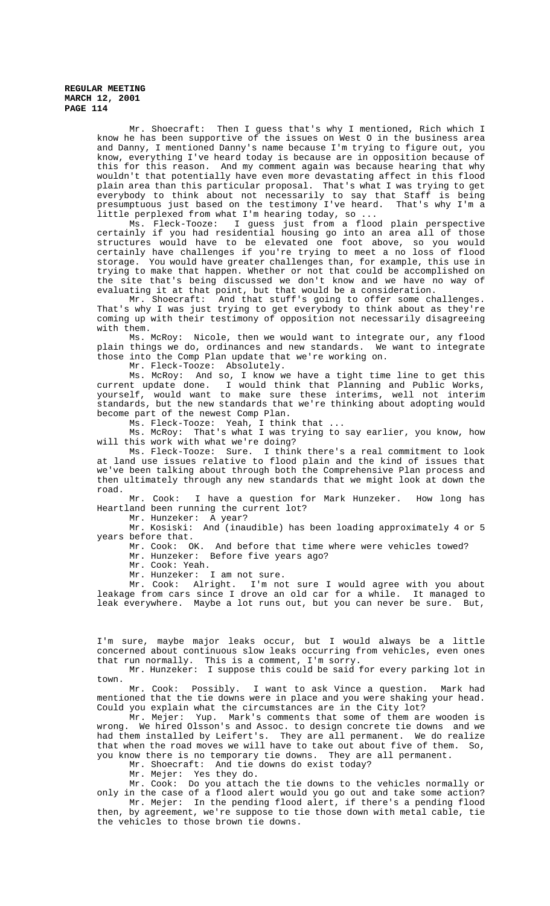> Mr. Shoecraft: Then I guess that's why I mentioned, Rich which I know he has been supportive of the issues on West O in the business area and Danny, I mentioned Danny's name because I'm trying to figure out, you know, everything I've heard today is because are in opposition because of this for this reason. And my comment again was because hearing that why wouldn't that potentially have even more devastating affect in this flood plain area than this particular proposal. That's what I was trying to get everybody to think about not necessarily to say that Staff is being<br>presumptuous just based on the testimony I've heard. That's why I'm a presumptuous just based on the testimony I've heard. little perplexed from what I'm hearing today, so ...

> Ms. Fleck-Tooze: I guess just from a flood plain perspective certainly if you had residential housing go into an area all of those structures would have to be elevated one foot above, so you would certainly have challenges if you're trying to meet a no loss of flood storage. You would have greater challenges than, for example, this use in trying to make that happen. Whether or not that could be accomplished on the site that's being discussed we don't know and we have no way of evaluating it at that point, but that would be a consideration.

> Mr. Shoecraft: And that stuff's going to offer some challenges. That's why I was just trying to get everybody to think about as they're coming up with their testimony of opposition not necessarily disagreeing with them.

> Ms. McRoy: Nicole, then we would want to integrate our, any flood plain things we do, ordinances and new standards. We want to integrate those into the Comp Plan update that we're working on.

Mr. Fleck-Tooze: Absolutely.

Ms. McRoy: And so, I know we have a tight time line to get this current update done. I would think that Planning and Public Works, yourself, would want to make sure these interims, well not interim standards, but the new standards that we're thinking about adopting would become part of the newest Comp Plan.

Ms. Fleck-Tooze: Yeah, I think that ...

Ms. McRoy: That's what I was trying to say earlier, you know, how will this work with what we're doing?

Ms. Fleck-Tooze: Sure. I think there's a real commitment to look at land use issues relative to flood plain and the kind of issues that we've been talking about through both the Comprehensive Plan process and then ultimately through any new standards that we might look at down the road.

Mr. Cook: I have a question for Mark Hunzeker. How long has Heartland been running the current lot?

Mr. Hunzeker: A year?

Mr. Kosiski: And (inaudible) has been loading approximately 4 or 5 years before that.

Mr. Cook: OK. And before that time where were vehicles towed?

Mr. Hunzeker: Before five years ago?

Mr. Cook: Yeah.

Mr. Hunzeker: I am not sure.

Mr. Cook: Alright. I'm not sure I would agree with you about leakage from cars since I drove an old car for a while. It managed to leak everywhere. Maybe a lot runs out, but you can never be sure. But,

I'm sure, maybe major leaks occur, but I would always be a little concerned about continuous slow leaks occurring from vehicles, even ones that run normally. This is a comment, I'm sorry.

Mr. Hunzeker: I suppose this could be said for every parking lot in town.

Mr. Cook: Possibly. I want to ask Vince a question. Mark had mentioned that the tie downs were in place and you were shaking your head. Could you explain what the circumstances are in the City lot?

Mr. Mejer: Yup. Mark's comments that some of them are wooden is wrong. We hired Olsson's and Assoc. to design concrete tie downs and we had them installed by Leifert's. They are all permanent. We do realize that when the road moves we will have to take out about five of them. So, you know there is no temporary tie downs. They are all permanent.

Mr. Shoecraft: And tie downs do exist today?

Mr. Mejer: Yes they do.

Mr. Cook: Do you attach the tie downs to the vehicles normally or only in the case of a flood alert would you go out and take some action? Mr. Mejer: In the pending flood alert, if there's a pending flood then, by agreement, we're suppose to tie those down with metal cable, tie

the vehicles to those brown tie downs.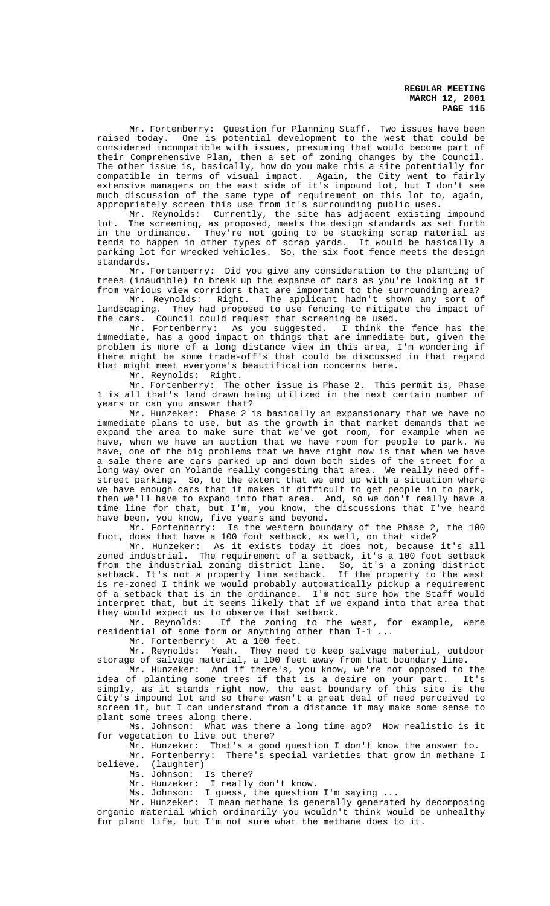Mr. Fortenberry: Question for Planning Staff. Two issues have been raised today. One is potential development to the west that could be considered incompatible with issues, presuming that would become part of their Comprehensive Plan, then a set of zoning changes by the Council. The other issue is, basically, how do you make this a site potentially for compatible in terms of visual impact. Again, the City went to fairly extensive managers on the east side of it's impound lot, but I don't see much discussion of the same type of requirement on this lot to, again, appropriately screen this use from it's surrounding public uses.

Mr. Reynolds: Currently, the site has adjacent existing impound lot. The screening, as proposed, meets the design standards as set forth in the ordinance. They're not going to be stacking scrap material as tends to happen in other types of scrap yards. It would be basically a parking lot for wrecked vehicles. So, the six foot fence meets the design standards.

Mr. Fortenberry: Did you give any consideration to the planting of trees (inaudible) to break up the expanse of cars as you're looking at it from various view corridors that are important to the surrounding area?

Mr. Reynolds: Right. The applicant hadn't shown any sort of landscaping. They had proposed to use fencing to mitigate the impact of the cars. Council could request that screening be used.

Mr. Fortenberry: As you suggested. I think the fence has the immediate, has a good impact on things that are immediate but, given the problem is more of a long distance view in this area, I'm wondering if there might be some trade-off's that could be discussed in that regard that might meet everyone's beautification concerns here.

Mr. Reynolds: Right.

Mr. Fortenberry: The other issue is Phase 2. This permit is, Phase 1 is all that's land drawn being utilized in the next certain number of years or can you answer that?

Mr. Hunzeker: Phase 2 is basically an expansionary that we have no immediate plans to use, but as the growth in that market demands that we expand the area to make sure that we've got room, for example when we have, when we have an auction that we have room for people to park. We have, one of the big problems that we have right now is that when we have a sale there are cars parked up and down both sides of the street for a long way over on Yolande really congesting that area. We really need offstreet parking. So, to the extent that we end up with a situation where we have enough cars that it makes it difficult to get people in to park, then we'll have to expand into that area. And, so we don't really have a time line for that, but I'm, you know, the discussions that I've heard have been, you know, five years and beyond.

Mr. Fortenberry: Is the western boundary of the Phase 2, the 100 foot, does that have a 100 foot setback, as well, on that side?

Mr. Hunzeker: As it exists today it does not, because it's all zoned industrial. The requirement of a setback, it's a 100 foot setback from the industrial zoning district line. So, it's a zoning district setback. It's not a property line setback. If the property to the west setback. It's not a property line setback. If the property to the west<br>is re-zoned I think we would probably automatically pickup a requirement of a setback that is in the ordinance. I'm not sure how the Staff would interpret that, but it seems likely that if we expand into that area that they would expect us to observe that setback.<br>Mr. Reynolds: If the zoning to the

If the zoning to the west, for example, were residential of some form or anything other than I-1 ...

Mr. Fortenberry: At a 100 feet.<br>Mr. Reynolds: Yeah. They need They need to keep salvage material, outdoor storage of salvage material, a 100 feet away from that boundary line.

Mr. Hunzeker: And if there's, you know, we're not opposed to the idea of planting some trees if that is a desire on your part. It's simply, as it stands right now, the east boundary of this site is the City's impound lot and so there wasn't a great deal of need perceived to screen it, but I can understand from a distance it may make some sense to plant some trees along there.

Ms. Johnson: What was there a long time ago? How realistic is it for vegetation to live out there?

Mr. Hunzeker: That's a good question I don't know the answer to.

Mr. Fortenberry: There's special varieties that grow in methane I believe. (laughter)

Ms. Johnson: Is there?

Mr. Hunzeker: I really don't know.

Ms. Johnson: I guess, the question I'm saying ...

Mr. Hunzeker: I mean methane is generally generated by decomposing organic material which ordinarily you wouldn't think would be unhealthy for plant life, but I'm not sure what the methane does to it.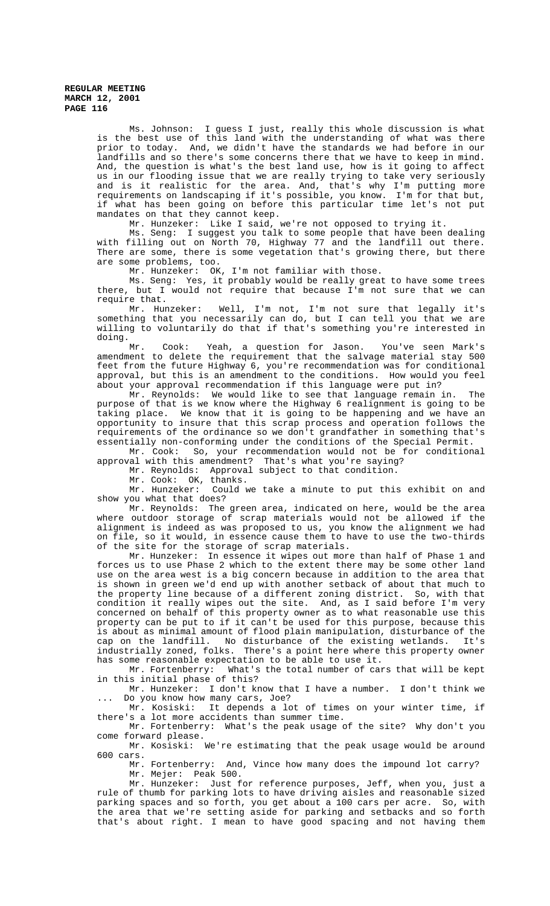Ms. Johnson: I guess I just, really this whole discussion is what is the best use of this land with the understanding of what was there prior to today. And, we didn't have the standards we had before in our landfills and so there's some concerns there that we have to keep in mind. And, the question is what's the best land use, how is it going to affect us in our flooding issue that we are really trying to take very seriously and is it realistic for the area. And, that's why I'm putting more requirements on landscaping if it's possible, you know. I'm for that but, if what has been going on before this particular time let's not put mandates on that they cannot keep.

Mr. Hunzeker: Like I said, we're not opposed to trying it.

Ms. Seng: I suggest you talk to some people that have been dealing with filling out on North 70, Highway 77 and the landfill out there. There are some, there is some vegetation that's growing there, but there are some problems, too.

Mr. Hunzeker: OK, I'm not familiar with those.

Ms. Seng: Yes, it probably would be really great to have some trees there, but I would not require that because I'm not sure that we can require that.

Mr. Hunzeker: Well, I'm not, I'm not sure that legally it's something that you necessarily can do, but I can tell you that we are willing to voluntarily do that if that's something you're interested in doing.<br>Mr.

Cook: Yeah, a question for Jason. You've seen Mark's amendment to delete the requirement that the salvage material stay 500 feet from the future Highway 6, you're recommendation was for conditional approval, but this is an amendment to the conditions. How would you feel about your approval recommendation if this language were put in?

Mr. Reynolds: We would like to see that language remain in. The purpose of that is we know where the Highway 6 realignment is going to be taking place. We know that it is going to be happening and we have an opportunity to insure that this scrap process and operation follows the requirements of the ordinance so we don't grandfather in something that's essentially non-conforming under the conditions of the Special Permit.

Mr. Cook: So, your recommendation would not be for conditional

approval with this amendment? That's what you're saying?

Mr. Reynolds: Approval subject to that condition.

Mr. Cook: OK, thanks.<br>Mr. Hunzeker: Could w

Could we take a minute to put this exhibit on and show you what that does?

Mr. Reynolds: The green area, indicated on here, would be the area where outdoor storage of scrap materials would not be allowed if the alignment is indeed as was proposed to us, you know the alignment we had on file, so it would, in essence cause them to have to use the two-thirds of the site for the storage of scrap materials.

Mr. Hunzeker: In essence it wipes out more than half of Phase 1 and forces us to use Phase 2 which to the extent there may be some other land use on the area west is a big concern because in addition to the area that is shown in green we'd end up with another setback of about that much to the property line because of a different zoning district. So, with that condition it really wipes out the site. And, as I said before I'm very concerned on behalf of this property owner as to what reasonable use this property can be put to if it can't be used for this purpose, because this is about as minimal amount of flood plain manipulation, disturbance of the cap on the landfill. No disturbance of the existing wetlands. It's industrially zoned, folks. There's a point here where this property owner has some reasonable expectation to be able to use it.

Mr. Fortenberry: What's the total number of cars that will be kept in this initial phase of this?

Mr. Hunzeker: I don't know that I have a number. I don't think we Do you know how many cars, Joe?

Mr. Kosiski: It depends a lot of times on your winter time, if there's a lot more accidents than summer time.

Mr. Fortenberry: What's the peak usage of the site? Why don't you come forward please.

Mr. Kosiski: We're estimating that the peak usage would be around 600 cars.

Mr. Fortenberry: And, Vince how many does the impound lot carry? Mr. Mejer: Peak 500.

Mr. Hunzeker: Just for reference purposes, Jeff, when you, just a rule of thumb for parking lots to have driving aisles and reasonable sized parking spaces and so forth, you get about a 100 cars per acre. So, with the area that we're setting aside for parking and setbacks and so forth that's about right. I mean to have good spacing and not having them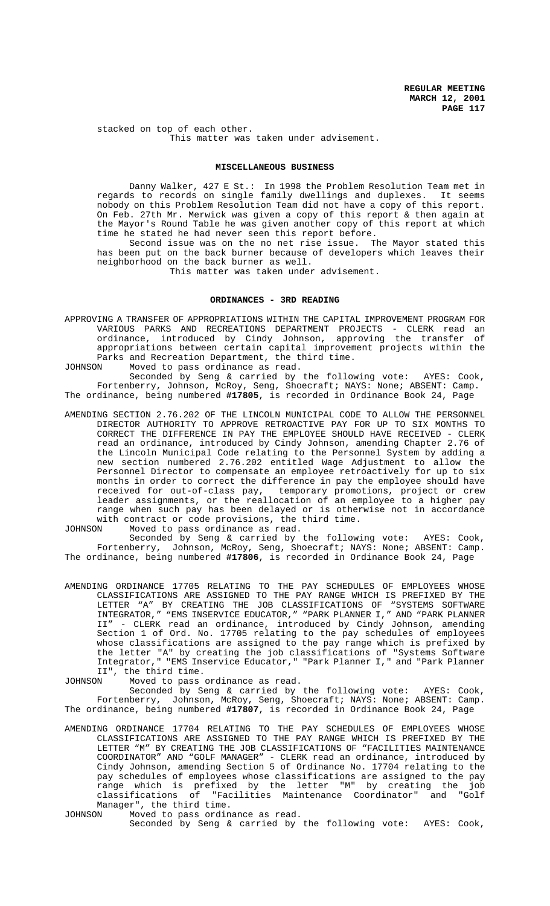stacked on top of each other. This matter was taken under advisement.

## **MISCELLANEOUS BUSINESS**

Danny Walker, 427 E St.: In 1998 the Problem Resolution Team met in regards to records on single family dwellings and duplexes. It seems nobody on this Problem Resolution Team did not have a copy of this report. On Feb. 27th Mr. Merwick was given a copy of this report & then again at the Mayor's Round Table he was given another copy of this report at which time he stated he had never seen this report before.

Second issue was on the no net rise issue. The Mayor stated this has been put on the back burner because of developers which leaves their neighborhood on the back burner as well.

This matter was taken under advisement.

#### **ORDINANCES - 3RD READING**

APPROVING A TRANSFER OF APPROPRIATIONS WITHIN THE CAPITAL IMPROVEMENT PROGRAM FOR VARIOUS PARKS AND RECREATIONS DEPARTMENT PROJECTS - CLERK read an ordinance, introduced by Cindy Johnson, approving the transfer of appropriations between certain capital improvement projects within the Parks and Recreation Department, the third time.

JOHNSON Moved to pass ordinance as read.

Seconded by Seng & carried by the following vote: AYES: Cook, Fortenberry, Johnson, McRoy, Seng, Shoecraft; NAYS: None; ABSENT: Camp. The ordinance, being numbered **#17805**, is recorded in Ordinance Book 24, Page

AMENDING SECTION 2.76.202 OF THE LINCOLN MUNICIPAL CODE TO ALLOW THE PERSONNEL DIRECTOR AUTHORITY TO APPROVE RETROACTIVE PAY FOR UP TO SIX MONTHS TO CORRECT THE DIFFERENCE IN PAY THE EMPLOYEE SHOULD HAVE RECEIVED - CLERK read an ordinance, introduced by Cindy Johnson, amending Chapter 2.76 of the Lincoln Municipal Code relating to the Personnel System by adding a new section numbered 2.76.202 entitled Wage Adjustment to allow the Personnel Director to compensate an employee retroactively for up to six months in order to correct the difference in pay the employee should have received for out-of-class pay, temporary promotions, project or crew leader assignments, or the reallocation of an employee to a higher pay range when such pay has been delayed or is otherwise not in accordance with contract or code provisions, the third time.

JOHNSON Moved to pass ordinance as read.

Seconded by Seng & carried by the following vote: AYES: Cook, Fortenberry, Johnson, McRoy, Seng, Shoecraft; NAYS: None; ABSENT: Camp. The ordinance, being numbered **#17806**, is recorded in Ordinance Book 24, Page

AMENDING ORDINANCE 17705 RELATING TO THE PAY SCHEDULES OF EMPLOYEES WHOSE CLASSIFICATIONS ARE ASSIGNED TO THE PAY RANGE WHICH IS PREFIXED BY THE LETTER "A" BY CREATING THE JOB CLASSIFICATIONS OF "SYSTEMS SOFTWARE INTEGRATOR," "EMS INSERVICE EDUCATOR," "PARK PLANNER I," AND "PARK PLANNER II" - CLERK read an ordinance, introduced by Cindy Johnson, amending Section 1 of Ord. No. 17705 relating to the pay schedules of employees whose classifications are assigned to the pay range which is prefixed by the letter "A" by creating the job classifications of "Systems Software Integrator," "EMS Inservice Educator," "Park Planner I," and "Park Planner II", the third time.

JOHNSON Moved to pass ordinance as read.

Seconded by Seng & carried by the following vote: AYES: Cook, Fortenberry, Johnson, McRoy, Seng, Shoecraft; NAYS: None; ABSENT: Camp. The ordinance, being numbered **#17807**, is recorded in Ordinance Book 24, Page

- AMENDING ORDINANCE 17704 RELATING TO THE PAY SCHEDULES OF EMPLOYEES WHOSE CLASSIFICATIONS ARE ASSIGNED TO THE PAY RANGE WHICH IS PREFIXED BY THE LETTER "M" BY CREATING THE JOB CLASSIFICATIONS OF "FACILITIES MAINTENANCE COORDINATOR" AND "GOLF MANAGER" - CLERK read an ordinance, introduced by Cindy Johnson, amending Section 5 of Ordinance No. 17704 relating to the pay schedules of employees whose classifications are assigned to the pay range which is prefixed by the letter "M" by creating the job classifications of "Facilities Maintenance Coordinator" and "Golf Manager", the third time.<br>JOHNSON Moved to pass ordin
- Moved to pass ordinance as read. Seconded by Seng & carried by the following vote: AYES: Cook,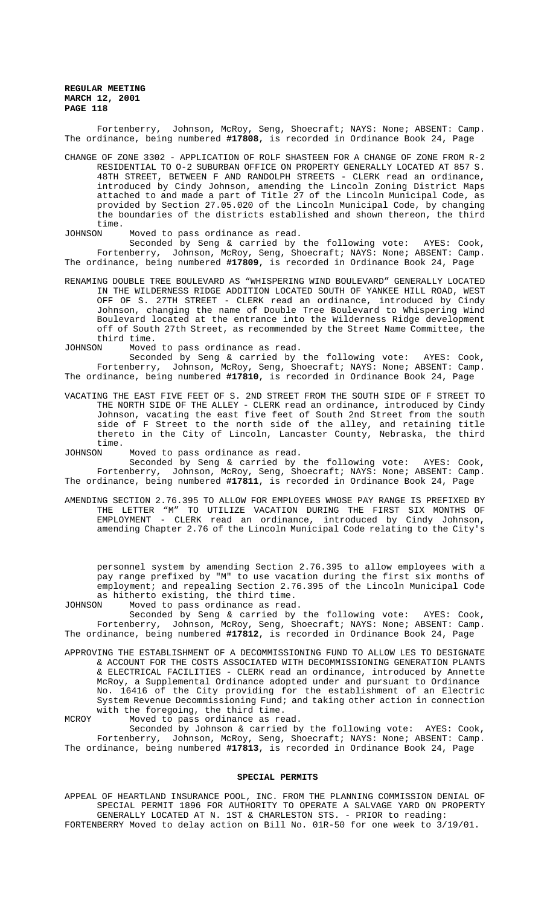Fortenberry, Johnson, McRoy, Seng, Shoecraft; NAYS: None; ABSENT: Camp. The ordinance, being numbered **#17808**, is recorded in Ordinance Book 24, Page

CHANGE OF ZONE 3302 - APPLICATION OF ROLF SHASTEEN FOR A CHANGE OF ZONE FROM R-2 RESIDENTIAL TO O-2 SUBURBAN OFFICE ON PROPERTY GENERALLY LOCATED AT 857 S. 48TH STREET, BETWEEN F AND RANDOLPH STREETS - CLERK read an ordinance, introduced by Cindy Johnson, amending the Lincoln Zoning District Maps attached to and made a part of Title 27 of the Lincoln Municipal Code, as provided by Section 27.05.020 of the Lincoln Municipal Code, by changing the boundaries of the districts established and shown thereon, the third time.

JOHNSON Moved to pass ordinance as read.

Seconded by Seng & carried by the following vote: AYES: Cook, Fortenberry, Johnson, McRoy, Seng, Shoecraft; NAYS: None; ABSENT: Camp. The ordinance, being numbered **#17809**, is recorded in Ordinance Book 24, Page

RENAMING DOUBLE TREE BOULEVARD AS "WHISPERING WIND BOULEVARD" GENERALLY LOCATED IN THE WILDERNESS RIDGE ADDITION LOCATED SOUTH OF YANKEE HILL ROAD, WEST OFF OF S. 27TH STREET - CLERK read an ordinance, introduced by Cindy Johnson, changing the name of Double Tree Boulevard to Whispering Wind Boulevard located at the entrance into the Wilderness Ridge development off of South 27th Street, as recommended by the Street Name Committee, the third time.<br>TOHNSON Moved

Moved to pass ordinance as read.

Seconded by Seng & carried by the following vote: AYES: Cook, Fortenberry, Johnson, McRoy, Seng, Shoecraft; NAYS: None; ABSENT: Camp. The ordinance, being numbered **#17810**, is recorded in Ordinance Book 24, Page

VACATING THE EAST FIVE FEET OF S. 2ND STREET FROM THE SOUTH SIDE OF F STREET TO THE NORTH SIDE OF THE ALLEY - CLERK read an ordinance, introduced by Cindy Johnson, vacating the east five feet of South 2nd Street from the south side of F Street to the north side of the alley, and retaining title thereto in the City of Lincoln, Lancaster County, Nebraska, the third time.<br>JOHNSON

Moved to pass ordinance as read.

Seconded by Seng & carried by the following vote: AYES: Cook, Fortenberry, Johnson, McRoy, Seng, Shoecraft; NAYS: None; ABSENT: Camp. The ordinance, being numbered **#17811**, is recorded in Ordinance Book 24, Page

AMENDING SECTION 2.76.395 TO ALLOW FOR EMPLOYEES WHOSE PAY RANGE IS PREFIXED BY THE LETTER "M" TO UTILIZE VACATION DURING THE FIRST SIX MONTHS OF EMPLOYMENT - CLERK read an ordinance, introduced by Cindy Johnson, amending Chapter 2.76 of the Lincoln Municipal Code relating to the City's

personnel system by amending Section 2.76.395 to allow employees with a pay range prefixed by "M" to use vacation during the first six months of employment; and repealing Section 2.76.395 of the Lincoln Municipal Code as hitherto existing, the third time.

JOHNSON Moved to pass ordinance as read.

Seconded by Seng & carried by the following vote: AYES: Cook, Fortenberry, Johnson, McRoy, Seng, Shoecraft; NAYS: None; ABSENT: Camp. The ordinance, being numbered **#17812**, is recorded in Ordinance Book 24, Page

APPROVING THE ESTABLISHMENT OF A DECOMMISSIONING FUND TO ALLOW LES TO DESIGNATE & ACCOUNT FOR THE COSTS ASSOCIATED WITH DECOMMISSIONING GENERATION PLANTS & ELECTRICAL FACILITIES - CLERK read an ordinance, introduced by Annette McRoy, a Supplemental Ordinance adopted under and pursuant to Ordinance No. 16416 of the City providing for the establishment of an Electric System Revenue Decommissioning Fund; and taking other action in connection with the foregoing, the third time. MCROY Moved to pass ordinance as read.

Seconded by Johnson & carried by the following vote: AYES: Cook, Fortenberry, Johnson, McRoy, Seng, Shoecraft; NAYS: None; ABSENT: Camp. The ordinance, being numbered **#17813**, is recorded in Ordinance Book 24, Page

# **SPECIAL PERMITS**

APPEAL OF HEARTLAND INSURANCE POOL, INC. FROM THE PLANNING COMMISSION DENIAL OF SPECIAL PERMIT 1896 FOR AUTHORITY TO OPERATE A SALVAGE YARD ON PROPERTY GENERALLY LOCATED AT N. 1ST & CHARLESTON STS. - PRIOR to reading: FORTENBERRY Moved to delay action on Bill No. 01R-50 for one week to 3/19/01.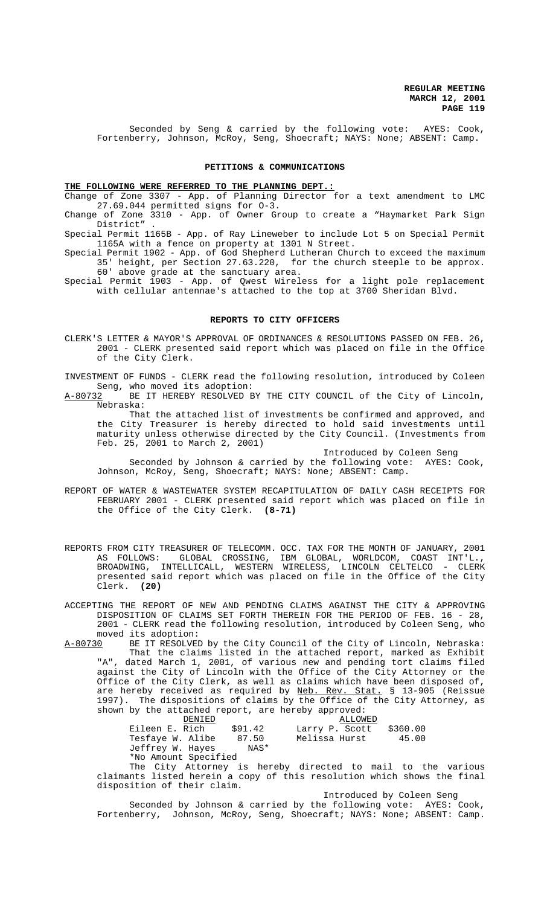Seconded by Seng & carried by the following vote: AYES: Cook, Fortenberry, Johnson, McRoy, Seng, Shoecraft; NAYS: None; ABSENT: Camp.

## **PETITIONS & COMMUNICATIONS**

#### **THE FOLLOWING WERE REFERRED TO THE PLANNING DEPT.:**

Change of Zone 3307 - App. of Planning Director for a text amendment to LMC 27.69.044 permitted signs for O-3.

Change of Zone 3310 - App. of Owner Group to create a "Haymarket Park Sign District" .

Special Permit 1165B - App. of Ray Lineweber to include Lot 5 on Special Permit 1165A with a fence on property at 1301 N Street.

Special Permit 1902 - App. of God Shepherd Lutheran Church to exceed the maximum 35' height, per Section 27.63.220, for the church steeple to be approx. 60' above grade at the sanctuary area.

Special Permit 1903 - App. of Qwest Wireless for a light pole replacement with cellular antennae's attached to the top at 3700 Sheridan Blvd.

#### **REPORTS TO CITY OFFICERS**

CLERK'S LETTER & MAYOR'S APPROVAL OF ORDINANCES & RESOLUTIONS PASSED ON FEB. 26, 2001 - CLERK presented said report which was placed on file in the Office of the City Clerk.

INVESTMENT OF FUNDS - CLERK read the following resolution, introduced by Coleen Seng, who moved its adoption:

A-80732 BE IT HEREBY RESOLVED BY THE CITY COUNCIL of the City of Lincoln, Nebraska:

That the attached list of investments be confirmed and approved, and the City Treasurer is hereby directed to hold said investments until maturity unless otherwise directed by the City Council. (Investments from Feb. 25, 2001 to March 2, 2001)

Introduced by Coleen Seng

Seconded by Johnson & carried by the following vote: AYES: Cook, Johnson, McRoy, Seng, Shoecraft; NAYS: None; ABSENT: Camp.

- REPORT OF WATER & WASTEWATER SYSTEM RECAPITULATION OF DAILY CASH RECEIPTS FOR FEBRUARY 2001 - CLERK presented said report which was placed on file in the Office of the City Clerk. **(8-71)**
- REPORTS FROM CITY TREASURER OF TELECOMM. OCC. TAX FOR THE MONTH OF JANUARY, 2001 AS FOLLOWS: GLOBAL CROSSING, IBM GLOBAL, WORLDCOM, COAST INT'L., BROADWING, INTELLICALL, WESTERN WIRELESS, LINCOLN CELTELCO - CLERK presented said report which was placed on file in the Office of the City Clerk. **(20)**
- ACCEPTING THE REPORT OF NEW AND PENDING CLAIMS AGAINST THE CITY & APPROVING DISPOSITION OF CLAIMS SET FORTH THEREIN FOR THE PERIOD OF FEB. 16 - 28, 2001 - CLERK read the following resolution, introduced by Coleen Seng, who moved its adoption:
- A-80730 BE IT RESOLVED by the City Council of the City of Lincoln, Nebraska: That the claims listed in the attached report, marked as Exhibit "A", dated March 1, 2001, of various new and pending tort claims filed against the City of Lincoln with the Office of the City Attorney or the Office of the City Clerk, as well as claims which have been disposed of, are hereby received as required by Neb. Rev. Stat. § 13-905 (Reissue 1997). The dispositions of claims by the Office of the City Attorney, as shown by the attached report, are hereby approved:

| DENIED               |         | ALLOWED        |          |
|----------------------|---------|----------------|----------|
| Eileen E. Rich       | \$91.42 | Larry P. Scott | \$360.00 |
| Tesfaye W. Alibe     | 87.50   | Melissa Hurst  | 45.00    |
| Jeffrey W. Hayes     | NAS*    |                |          |
| *No Amount Specified |         |                |          |

The City Attorney is hereby directed to mail to the various claimants listed herein a copy of this resolution which shows the final disposition of their claim.

Introduced by Coleen Seng

Seconded by Johnson & carried by the following vote: AYES: Cook, Fortenberry, Johnson, McRoy, Seng, Shoecraft; NAYS: None; ABSENT: Camp.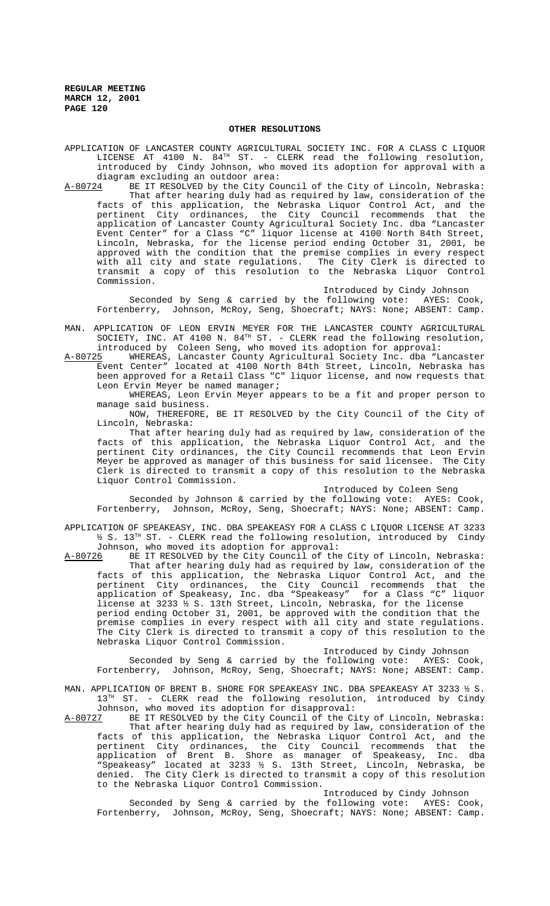## **OTHER RESOLUTIONS**

APPLICATION OF LANCASTER COUNTY AGRICULTURAL SOCIETY INC. FOR A CLASS C LIQUOR LICENSE AT 4100 N.  $84^{TH}$  ST. - CLERK read the following resolution, introduced by Cindy Johnson, who moved its adoption for approval with a diagram excluding an outdoor area:

A-80724 BE IT RESOLVED by the City Council of the City of Lincoln, Nebraska: That after hearing duly had as required by law, consideration of the facts of this application, the Nebraska Liquor Control Act, and the pertinent City ordinances, the City Council recommends that the application of Lancaster County Agricultural Society Inc. dba "Lancaster Event Center" for a Class "C" liquor license at 4100 North 84th Street, Lincoln, Nebraska, for the license period ending October 31, 2001, be approved with the condition that the premise complies in every respect with all city and state regulations. The City Clerk is directed to transmit a copy of this resolution to the Nebraska Liquor Control Commission.

Introduced by Cindy Johnson

Seconded by Seng & carried by the following vote: AYES: Cook, Fortenberry, Johnson, McRoy, Seng, Shoecraft; NAYS: None; ABSENT: Camp.

- MAN. APPLICATION OF LEON ERVIN MEYER FOR THE LANCASTER COUNTY AGRICULTURAL SOCIETY, INC. AT 4100 N. 84<sup>TH</sup> ST. - CLERK read the following resolution, introduced by Coleen Seng, who moved its adoption for approval:
- A-80725 MHEREAS, Lancaster County Agricultural Society Inc. dba "Lancaster Event Center" located at 4100 North 84th Street, Lincoln, Nebraska has been approved for a Retail Class "C" liquor license, and now requests that Leon Ervin Meyer be named manager;

WHEREAS, Leon Ervin Meyer appears to be a fit and proper person to manage said business.

NOW, THEREFORE, BE IT RESOLVED by the City Council of the City of Lincoln, Nebraska:

That after hearing duly had as required by law, consideration of the facts of this application, the Nebraska Liquor Control Act, and the pertinent City ordinances, the City Council recommends that Leon Ervin Meyer be approved as manager of this business for said licensee. The City Clerk is directed to transmit a copy of this resolution to the Nebraska Liquor Control Commission.

Introduced by Coleen Seng

Seconded by Johnson & carried by the following vote: AYES: Cook, Fortenberry, Johnson, McRoy, Seng, Shoecraft; NAYS: None; ABSENT: Camp.

APPLICATION OF SPEAKEASY, INC. DBA SPEAKEASY FOR A CLASS C LIQUOR LICENSE AT 3233 ½ S. 13TH ST. - CLERK read the following resolution, introduced by Cindy Johnson, who moved its adoption for approval:

A-80726 BE IT RESOLVED by the City Council of the City of Lincoln, Nebraska: That after hearing duly had as required by law, consideration of the facts of this application, the Nebraska Liquor Control Act, and the pertinent City ordinances, the City Council recommends that the application of Speakeasy, Inc. dba "Speakeasy" for a Class "C" liquor license at 3233 ½ S. 13th Street, Lincoln, Nebraska, for the license period ending October 31, 2001, be approved with the condition that the premise complies in every respect with all city and state regulations. The City Clerk is directed to transmit a copy of this resolution to the Nebraska Liquor Control Commission.

Introduced by Cindy Johnson

Seconded by Seng & carried by the following vote: AYES: Cook, Fortenberry, Johnson, McRoy, Seng, Shoecraft; NAYS: None; ABSENT: Camp.

MAN. APPLICATION OF BRENT B. SHORE FOR SPEAKEASY INC. DBA SPEAKEASY AT 3233  $\frac{1}{2}$  S.<br>13<sup>TH</sup> ST. - CLERK read the following resolution. introduced by Cindy ST. - CLERK read the following resolution, introduced by Cindy Johnson, who moved its adoption for disapproval:<br>A-80727 BE IT RESOLVED by the City Council of the Ci

BE IT RESOLVED by the City Council of the City of Lincoln, Nebraska: That after hearing duly had as required by law, consideration of the facts of this application, the Nebraska Liquor Control Act, and the pertinent City ordinances, the City Council recommends that the application of Brent B. Shore as manager of Speakeasy, Inc. dba "Speakeasy" located at 3233 ½ S. 13th Street, Lincoln, Nebraska, be denied. The City Clerk is directed to transmit a copy of this resolution to the Nebraska Liquor Control Commission.

Introduced by Cindy Johnson

Seconded by Seng & carried by the following vote: AYES: Cook, Fortenberry, Johnson, McRoy, Seng, Shoecraft; NAYS: None; ABSENT: Camp.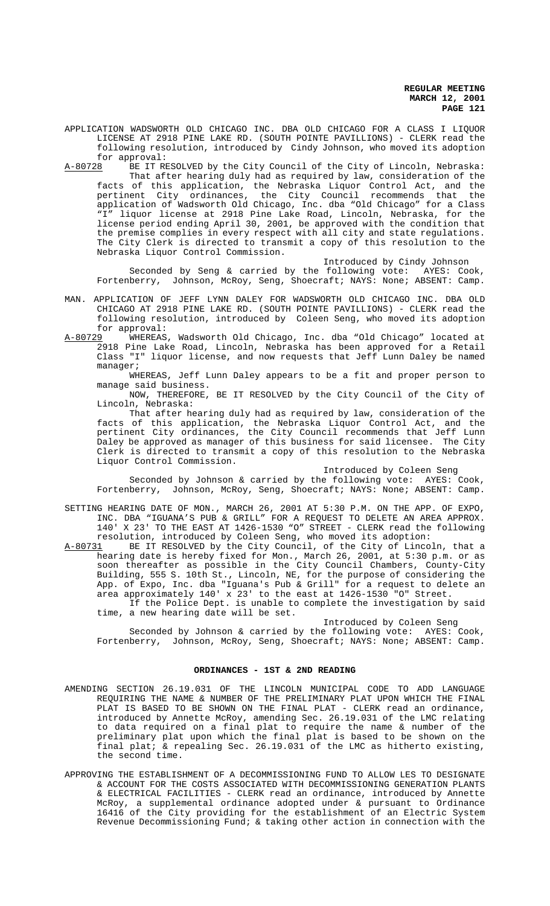APPLICATION WADSWORTH OLD CHICAGO INC. DBA OLD CHICAGO FOR A CLASS I LIQUOR LICENSE AT 2918 PINE LAKE RD. (SOUTH POINTE PAVILLIONS) - CLERK read the following resolution, introduced by Cindy Johnson, who moved its adoption for approval:

A-80728 BE IT RESOLVED by the City Council of the City of Lincoln, Nebraska: That after hearing duly had as required by law, consideration of the facts of this application, the Nebraska Liquor Control Act, and the pertinent City ordinances, the City Council recommends that the application of Wadsworth Old Chicago, Inc. dba "Old Chicago" for a Class liquor license at 2918 Pine Lake Road, Lincoln, Nebraska, for the license period ending April 30, 2001, be approved with the condition that the premise complies in every respect with all city and state regulations. The City Clerk is directed to transmit a copy of this resolution to the Nebraska Liquor Control Commission.

## Introduced by Cindy Johnson

Seconded by Seng & carried by the following vote: AYES: Cook, Fortenberry, Johnson, McRoy, Seng, Shoecraft; NAYS: None; ABSENT: Camp.

MAN. APPLICATION OF JEFF LYNN DALEY FOR WADSWORTH OLD CHICAGO INC. DBA OLD CHICAGO AT 2918 PINE LAKE RD. (SOUTH POINTE PAVILLIONS) - CLERK read the following resolution, introduced by Coleen Seng, who moved its adoption

for approval:<br>A-80729 WHEREAS WHEREAS, Wadsworth Old Chicago, Inc. dba "Old Chicago" located at 2918 Pine Lake Road, Lincoln, Nebraska has been approved for a Retail Class "I" liquor license, and now requests that Jeff Lunn Daley be named manager;

WHEREAS, Jeff Lunn Daley appears to be a fit and proper person to manage said business.

NOW, THEREFORE, BE IT RESOLVED by the City Council of the City of Lincoln, Nebraska:

That after hearing duly had as required by law, consideration of the facts of this application, the Nebraska Liquor Control Act, and the pertinent City ordinances, the City Council recommends that Jeff Lunn Daley be approved as manager of this business for said licensee. The City Clerk is directed to transmit a copy of this resolution to the Nebraska Liquor Control Commission.

Introduced by Coleen Seng

Seconded by Johnson & carried by the following vote: AYES: Cook, Fortenberry, Johnson, McRoy, Seng, Shoecraft; NAYS: None; ABSENT: Camp.

SETTING HEARING DATE OF MON., MARCH 26, 2001 AT 5:30 P.M. ON THE APP. OF EXPO, INC. DBA "IGUANA'S PUB & GRILL" FOR A REQUEST TO DELETE AN AREA APPROX. 140' X 23' TO THE EAST AT 1426-1530 "O" STREET - CLERK read the following

resolution, introduced by Coleen Seng, who moved its adoption: A-80731 BE IT RESOLVED by the City Council, of the City of Lincoln, that a hearing date is hereby fixed for Mon., March 26, 2001, at 5:30 p.m. or as soon thereafter as possible in the City Council Chambers, County-City Building, 555 S. 10th St., Lincoln, NE, for the purpose of considering the App. of Expo, Inc. dba "Iguana's Pub & Grill" for a request to delete an area approximately 140' x 23' to the east at 1426-1530 "O" Street. If the Police Dept. is unable to complete the investigation by said

time, a new hearing date will be set.

Introduced by Coleen Seng

Seconded by Johnson & carried by the following vote: AYES: Cook, Fortenberry, Johnson, McRoy, Seng, Shoecraft; NAYS: None; ABSENT: Camp.

# **ORDINANCES - 1ST & 2ND READING**

- AMENDING SECTION 26.19.031 OF THE LINCOLN MUNICIPAL CODE TO ADD LANGUAGE REQUIRING THE NAME & NUMBER OF THE PRELIMINARY PLAT UPON WHICH THE FINAL PLAT IS BASED TO BE SHOWN ON THE FINAL PLAT - CLERK read an ordinance, introduced by Annette McRoy, amending Sec. 26.19.031 of the LMC relating to data required on a final plat to require the name & number of the preliminary plat upon which the final plat is based to be shown on the final plat; & repealing Sec. 26.19.031 of the LMC as hitherto existing, the second time.
- APPROVING THE ESTABLISHMENT OF A DECOMMISSIONING FUND TO ALLOW LES TO DESIGNATE & ACCOUNT FOR THE COSTS ASSOCIATED WITH DECOMMISSIONING GENERATION PLANTS & ELECTRICAL FACILITIES - CLERK read an ordinance, introduced by Annette McRoy, a supplemental ordinance adopted under & pursuant to Ordinance 16416 of the City providing for the establishment of an Electric System Revenue Decommissioning Fund; & taking other action in connection with the